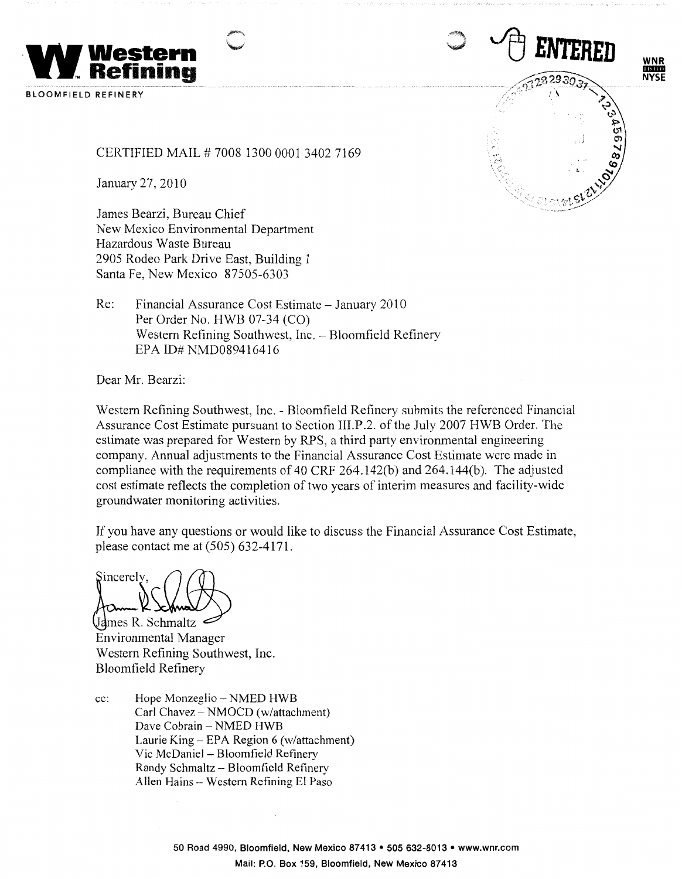

**BLOOMFIELD REFINERY** 

CERTIFIED MAIL# 7008 1300 0001 3402 7169

January 27, 2010

James Bearzi, Bureau Chief New Mexico Environmental Department Hazardous Waste Bureau 2905 Rodeo Park Drive East, Building 1 Santa Fe, New Mexico 87505-6303

Re: Financial Assurance Cost Estimate - January 2010 Per Order No. HWB 07-34 (CO) Western Refining Southwest, Inc. - Bloomfield Refinery EPA ID# NMD089416416

Dear Mr. Bearzi:

Western Refining Southwest, Inc. - Bloomfield Refinery submits the referenced Financial Assurance Cost Estimate pursuant to Section III.P .2. of the July 2007 HWB Order. The estimate was prepared for Western by RPS, a third party environmental engineering company. Annual adjustments to the Financial Assurance Cost Estimate were made in compliance with the requirements of 40 CRF 264.142(b) and 264.144(b). The adjusted cost estimate reflects the completion of two years of interim measures and facility-wide groundwater monitoring activities.

If you have any questions or would like to discuss the Financial Assurance Cost Estimate, please contact me at (505) 632-4171.

 $\sum_{\lambda}$   $\bigcap$ 

James R. Schmaltz Environmental Manager Western Refining Southwest, Inc. Bloomfield Refinery

cc: Hope Monzeglio – NMED HWB Carl Chavez - NMOCD (w/attachment) Dave Cobrain - NMED HWB Laurie King- EPA Region 6 (w/attachment) Vic McDaniel - Bloomfield Refinery Randy Schmaltz - Bloomfield Refinery Allen Hains - Western Refining El Paso

<sup>1</sup><sup>1</sup> ENTERED

**WNR**  IIIDID **NYSE**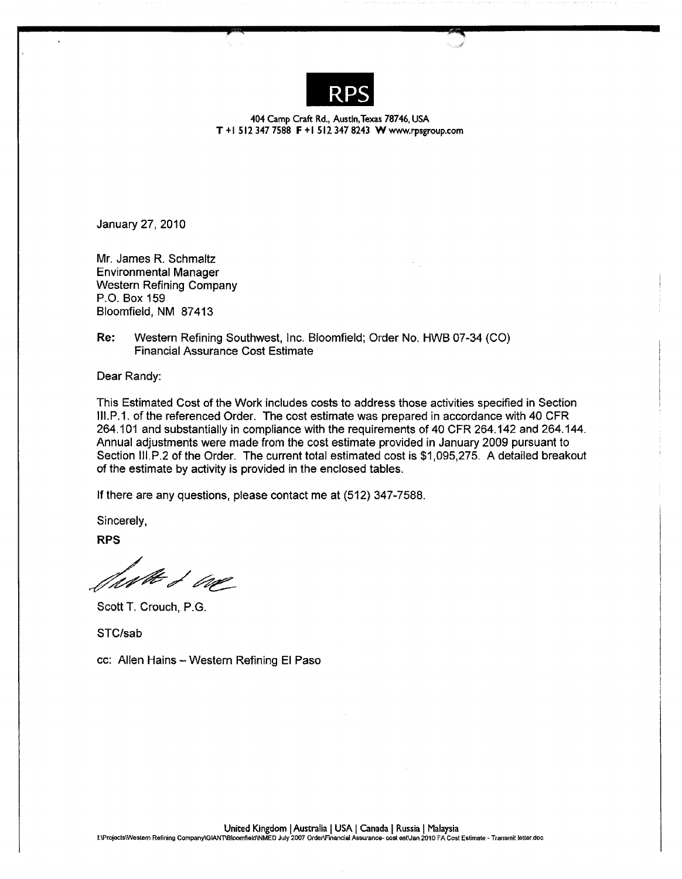

404 Camp Craft Rd., Austin, Texas 78746, USA **T** + I 512 347 7588 **F** + I 512 347 8243 **W** www.rpsgroup.com

January 27, 2010

Mr. James R. Schmaltz Environmental Manager Western Refining Company P.O. Box 159 Bloomfield, **NM** 87413

**Re:** Western Refining Southwest, Inc. Bloomfield; Order No. HWB 07-34 (CO) Financial Assurance Cost Estimate

Dear Randy:

This Estimated Cost of the Work includes costs to address those activities specified in Section 111.P.1. of the referenced Order. The cost estimate was prepared in accordance with 40 CFR 264.101 and substantially in compliance with the requirements of 40 CFR 264.142 and 264.144. Annual adjustments were made from the cost estimate provided in January 2009 pursuant to Section 111.P.2 of the Order. The current total estimated cost is \$1,095,275. A detailed breakout of the estimate by activity is provided in the enclosed tables.

If there are any questions, please contact me at (512) 347-7588.

Sincerely,

**RPS** 

furthed in

Scott T. Crouch, P.G.

STC/sab

cc: Allen Hains-Western Refining El Paso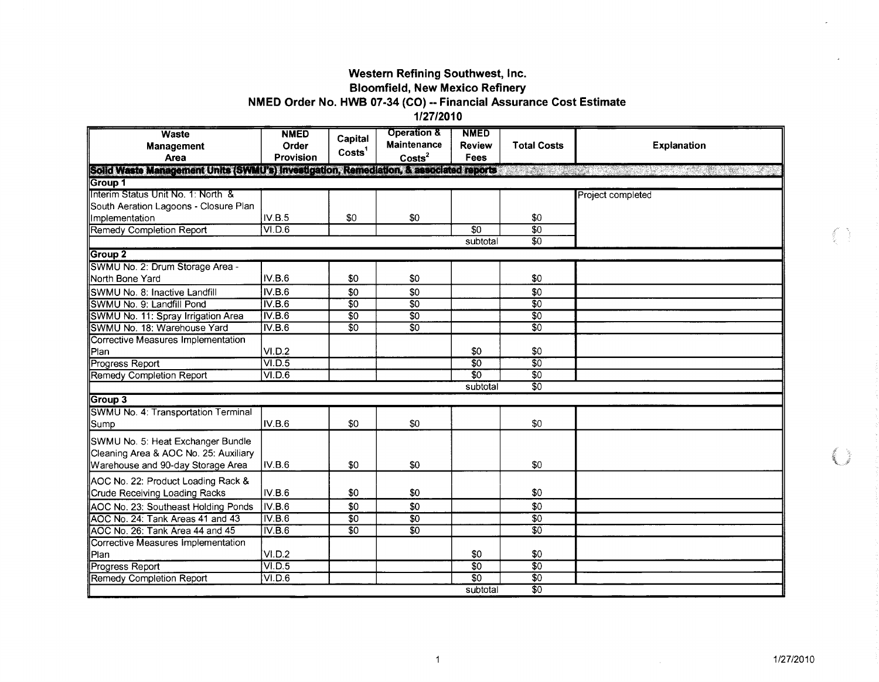### Western Refining Southwest, Inc. **Bloomfield, New Mexico Refinery**

# NMED Order No. HWB 07-34 (CO) -- Financial Assurance Cost Estimate

1/27/2010

| <b>Waste</b><br><b>Management</b><br>Area                                                                       | <b>NMED</b><br>Order<br><b>Provision</b> | Capital<br>Costs <sup>1</sup> | <b>Operation &amp;</b><br><b>Maintenance</b><br>$\text{Costs}^2$ | <b>NMED</b><br><b>Review</b><br><b>Fees</b>      | <b>Total Costs</b> | <b>Explanation</b> |
|-----------------------------------------------------------------------------------------------------------------|------------------------------------------|-------------------------------|------------------------------------------------------------------|--------------------------------------------------|--------------------|--------------------|
| Solid Waste Management Units (SWMU's) Investigation, Remediation, & associated reports                          |                                          |                               |                                                                  |                                                  |                    |                    |
| Group 1                                                                                                         |                                          |                               |                                                                  |                                                  |                    |                    |
| Interim Status Unit No. 1: North &                                                                              |                                          |                               |                                                                  |                                                  |                    | Project completed  |
| South Aeration Lagoons - Closure Plan                                                                           |                                          |                               |                                                                  |                                                  |                    |                    |
| Implementation                                                                                                  | IV.B.5                                   | \$0                           | \$0                                                              |                                                  | \$0                |                    |
| <b>Remedy Completion Report</b>                                                                                 | VI.D.6                                   |                               |                                                                  | $\overline{50}$                                  | $\overline{60}$    |                    |
|                                                                                                                 |                                          |                               |                                                                  | subtotal                                         | $\overline{30}$    |                    |
| Group 2                                                                                                         |                                          |                               |                                                                  |                                                  |                    |                    |
| SWMU No. 2: Drum Storage Area -                                                                                 |                                          |                               |                                                                  |                                                  |                    |                    |
| North Bone Yard                                                                                                 | IV.B.6                                   | \$0                           | \$0                                                              |                                                  | \$0                |                    |
| SWMU No. 8: Inactive Landfill                                                                                   | IV.B.6                                   | \$0                           | \$0                                                              |                                                  | \$0                |                    |
| SWMU No. 9: Landfill Pond                                                                                       | IV.B.6                                   | $\overline{50}$               | $\overline{50}$                                                  |                                                  | $\overline{30}$    |                    |
| SWMU No. 11: Spray Irrigation Area                                                                              | IV.B.6                                   | $\overline{50}$               | $\overline{30}$                                                  |                                                  | $\overline{30}$    |                    |
| SWMU No. 18: Warehouse Yard                                                                                     | IV.B.6                                   | $\overline{30}$               | $\overline{30}$                                                  |                                                  | $\overline{30}$    |                    |
| Corrective Measures Implementation                                                                              |                                          |                               |                                                                  |                                                  |                    |                    |
| Plan                                                                                                            | VI.D.2                                   |                               |                                                                  | \$0                                              | \$0                |                    |
| Progress Report                                                                                                 | VI.D.5                                   |                               |                                                                  | $\overline{50}$                                  | \$0                |                    |
| Remedy Completion Report                                                                                        | VI.D.6                                   |                               |                                                                  | $\overline{\overline{\mathfrak{s}}\mathfrak{o}}$ | $\overline{30}$    |                    |
|                                                                                                                 |                                          |                               |                                                                  | subtotal                                         | $\overline{50}$    |                    |
| Group 3                                                                                                         |                                          |                               |                                                                  |                                                  |                    |                    |
| SWMU No. 4: Transportation Terminal                                                                             |                                          |                               |                                                                  |                                                  |                    |                    |
| Sump                                                                                                            | IV.B.6                                   | \$0                           | \$0                                                              |                                                  | \$0                |                    |
| SWMU No. 5: Heat Exchanger Bundle<br>Cleaning Area & AOC No. 25: Auxiliary<br>Warehouse and 90-day Storage Area | IV.B.6                                   | \$0                           | \$0                                                              |                                                  | \$0                |                    |
| AOC No. 22: Product Loading Rack &                                                                              |                                          |                               |                                                                  |                                                  |                    |                    |
| Crude Receiving Loading Racks                                                                                   | IV.B.6                                   | \$0                           | \$0                                                              |                                                  | \$0                |                    |
| AOC No. 23: Southeast Holding Ponds                                                                             | IV.B.6                                   | \$0                           | \$0                                                              |                                                  | \$0                |                    |
| AOC No. 24: Tank Areas 41 and 43                                                                                | IV.B.6                                   | $\overline{30}$               | $\overline{50}$                                                  |                                                  | \$0                |                    |
| AOC No. 26: Tank Area 44 and 45                                                                                 | IV.B.6                                   | $\overline{30}$               | $\overline{\mathbf{s}}$ <sup>0</sup>                             |                                                  | $\overline{50}$    |                    |
| Corrective Measures Implementation                                                                              |                                          |                               |                                                                  |                                                  |                    |                    |
| Plan                                                                                                            | VI.D.2                                   |                               |                                                                  | \$0                                              | \$0                |                    |
| <b>Progress Report</b>                                                                                          | VI.D.5                                   |                               |                                                                  | $\overline{50}$                                  | $\overline{30}$    |                    |
| Remedy Completion Report                                                                                        | VI.D.6                                   |                               |                                                                  | $\overline{\mathfrak{s}0}$                       | $\overline{50}$    |                    |
|                                                                                                                 |                                          |                               |                                                                  | subtotal                                         | $\overline{30}$    |                    |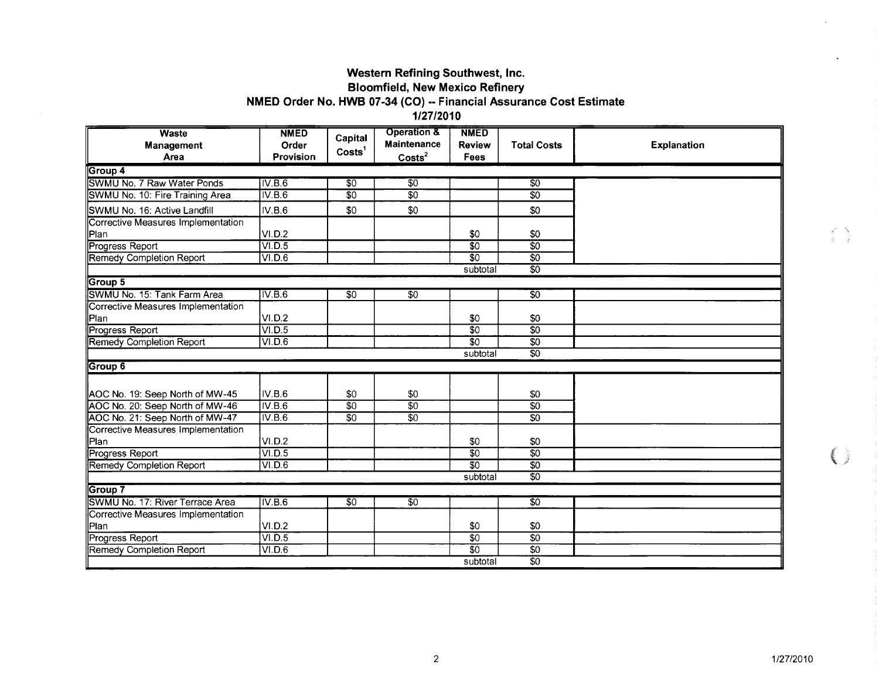### **Western Refining Southwest, Inc. Bloomfield, New Mexico Refinery NMED Order No. HWB 07-34 (CO) -- Financial Assurance Cost Estimate**

**1/27/2010** 

| <b>Waste</b><br>Management<br>Area | <b>NMED</b><br>Order<br>Provision | Capital<br>Costs <sup>1</sup> | <b>Operation &amp;</b><br><b>Maintenance</b><br>Costs <sup>2</sup> | <b>NMED</b><br><b>Review</b><br>Fees | <b>Total Costs</b> | <b>Explanation</b> |
|------------------------------------|-----------------------------------|-------------------------------|--------------------------------------------------------------------|--------------------------------------|--------------------|--------------------|
| ∥Group 4                           |                                   |                               |                                                                    |                                      |                    |                    |
| SWMU No. 7 Raw Water Ponds         | IV.B.6                            | $\overline{50}$               | $\overline{50}$                                                    |                                      | $\overline{30}$    |                    |
| SWMU No. 10: Fire Training Area    | IV.B.6                            | $\overline{30}$               | $\overline{\$0}$                                                   |                                      | $\overline{50}$    |                    |
| SWMU No. 16: Active Landfill       | IV.B.6                            | \$0                           | \$0                                                                |                                      | \$0                |                    |
| Corrective Measures Implementation |                                   |                               |                                                                    |                                      |                    |                    |
| Plan                               | VI.D.2                            |                               |                                                                    | \$0                                  | \$0                |                    |
| Progress Report                    | VI.D.5                            |                               |                                                                    | $\overline{30}$                      | $\overline{50}$    |                    |
| Remedy Completion Report           | VID.6                             |                               |                                                                    | $\overline{50}$                      | $\overline{60}$    |                    |
|                                    |                                   |                               |                                                                    | subtotal                             | $\overline{50}$    |                    |
| Group 5                            |                                   |                               |                                                                    |                                      |                    |                    |
| SWMU No. 15: Tank Farm Area        | IV.B.6                            | $\overline{30}$               | $\overline{30}$                                                    |                                      | $\overline{50}$    |                    |
| Corrective Measures Implementation |                                   |                               |                                                                    |                                      |                    |                    |
| Plan                               | VI.D.2                            |                               |                                                                    | \$0                                  | \$0                |                    |
| Progress Report                    | VI.D.5                            |                               |                                                                    | $\overline{50}$                      | $\overline{30}$    |                    |
| <b>Remedy Completion Report</b>    | VI.D.6                            |                               |                                                                    | $\overline{30}$                      | \$0                |                    |
|                                    |                                   |                               |                                                                    | subtotal                             | $\overline{50}$    |                    |
| Group 6                            |                                   |                               |                                                                    |                                      |                    |                    |
|                                    |                                   |                               |                                                                    |                                      |                    |                    |
| AOC No. 19: Seep North of MW-45    | IV.B.6                            | \$0                           | \$0                                                                |                                      | \$0                |                    |
| AOC No. 20: Seep North of MW-46    | IV.B.6                            | $\overline{50}$               | $\overline{\$0}$                                                   |                                      | $\overline{50}$    |                    |
| AOC No. 21: Seep North of MW-47    | IV.B.6                            | $\overline{50}$               | $\overline{30}$                                                    |                                      | $\overline{50}$    |                    |
| Corrective Measures Implementation |                                   |                               |                                                                    |                                      |                    |                    |
| Plan                               | VI.D.2                            |                               |                                                                    | \$0                                  | \$0                |                    |
| Progress Report                    | VI.D.5                            |                               |                                                                    | $\overline{50}$                      | $\overline{50}$    |                    |
| <b>Remedy Completion Report</b>    | VI.D.6                            |                               |                                                                    | $\overline{50}$                      | $\overline{50}$    |                    |
|                                    |                                   |                               |                                                                    | subtotal                             | $\overline{50}$    |                    |
| Group 7                            |                                   |                               |                                                                    |                                      |                    |                    |
| SWMU No. 17: River Terrace Area    | IV.B.6                            | $\overline{30}$               | $\overline{50}$                                                    |                                      | $\overline{50}$    |                    |
| Corrective Measures Implementation |                                   |                               |                                                                    |                                      |                    |                    |
| Plan                               | VI.D.2                            |                               |                                                                    | \$0                                  | \$0                |                    |
| Progress Report                    | VI.D.5                            |                               |                                                                    | $\overline{50}$                      | $\overline{50}$    |                    |
| <b>Remedy Completion Report</b>    | VI.D.6                            |                               |                                                                    | $\overline{50}$                      | \$0                |                    |
|                                    |                                   |                               |                                                                    | subtotal                             | $\overline{50}$    |                    |

 $\begin{array}{ccc} & \mathbf{a}^{\text{R}} & \mathbf{b} \\ & \mathbf{b} & \mathbf{b} \end{array}$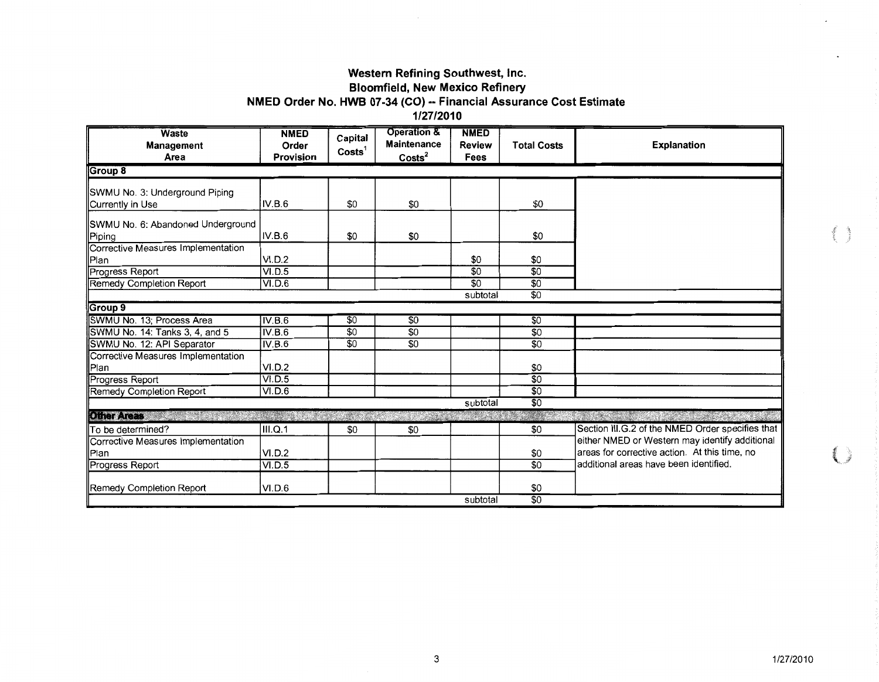### Western Refining Southwest, Inc.

# **Bloomfield, New Mexico Refinery**

# NMED Order No. HWB 07-34 (CO) -- Financial Assurance Cost Estimate

1/27/2010

| <b>Waste</b><br>Management<br>Area                 | <b>NMED</b><br>Order<br><b>Provision</b> | Capital<br>Costs <sup>1</sup> | <b>Operation &amp;</b><br><b>Maintenance</b><br>$\text{Costs}^2$ | <b>NMED</b><br><b>Review</b><br>Fees | <b>Total Costs</b> | Explanation                                      |
|----------------------------------------------------|------------------------------------------|-------------------------------|------------------------------------------------------------------|--------------------------------------|--------------------|--------------------------------------------------|
| Group 8                                            |                                          |                               |                                                                  |                                      |                    |                                                  |
| SWMU No. 3: Underground Piping<br>Currently in Use | IV.B.6                                   | \$0                           | \$0                                                              |                                      | \$0                |                                                  |
| SWMU No. 6: Abandoned Underground<br>Piping        | IV.B.6                                   | \$0                           | \$0                                                              |                                      | \$0                |                                                  |
| Corrective Measures Implementation<br>Plan         | VI.D.2                                   |                               |                                                                  | \$0                                  | \$0                |                                                  |
| Progress Report<br>Remedy Completion Report        | VI.D.5<br>VI.D.6                         |                               |                                                                  | $\overline{50}$<br>$\overline{50}$   | \$0<br>\$0         |                                                  |
|                                                    |                                          |                               |                                                                  | subtotal                             | \$0                |                                                  |
| Group 9                                            |                                          |                               |                                                                  |                                      |                    |                                                  |
| SWMU No. 13; Process Area                          | IV.B.6                                   | \$0                           | \$0                                                              |                                      | \$0                |                                                  |
| SWMU No. 14: Tanks 3, 4, and 5                     | IV.B.6                                   | \$0                           | $\overline{50}$                                                  |                                      | $\overline{50}$    |                                                  |
| SWMU No. 12: API Separator                         | IV.B.6                                   | $\overline{50}$               | $\overline{50}$                                                  |                                      | \$0                |                                                  |
| Corrective Measures Implementation<br><b>P</b> lan | VI.D.2                                   |                               |                                                                  |                                      | \$0                |                                                  |
| Progress Report                                    | VI.D.5                                   |                               |                                                                  |                                      | $\overline{50}$    |                                                  |
| Remedy Completion Report                           | VI.D.6                                   |                               |                                                                  |                                      | \$0                |                                                  |
|                                                    |                                          |                               |                                                                  | subtotal                             | \$0                |                                                  |
| Olher Areas                                        |                                          |                               |                                                                  |                                      |                    |                                                  |
| To be determined?                                  | III.Q.1                                  | \$0                           | \$0                                                              |                                      | \$0                | Section III.G.2 of the NMED Order specifies that |
| Corrective Measures Implementation                 |                                          |                               |                                                                  |                                      |                    | either NMED or Western may identify additional   |
| Plan                                               | VI.D.2                                   |                               |                                                                  |                                      | \$0                | areas for corrective action. At this time, no    |
| Progress Report                                    | VI.D.5                                   |                               |                                                                  |                                      | \$0                | ladditional areas have been identified.          |
| <b>Remedy Completion Report</b>                    | VI.D.6                                   |                               |                                                                  |                                      | \$0                |                                                  |
|                                                    |                                          |                               |                                                                  | subtotal                             | \$0                |                                                  |

€≒

€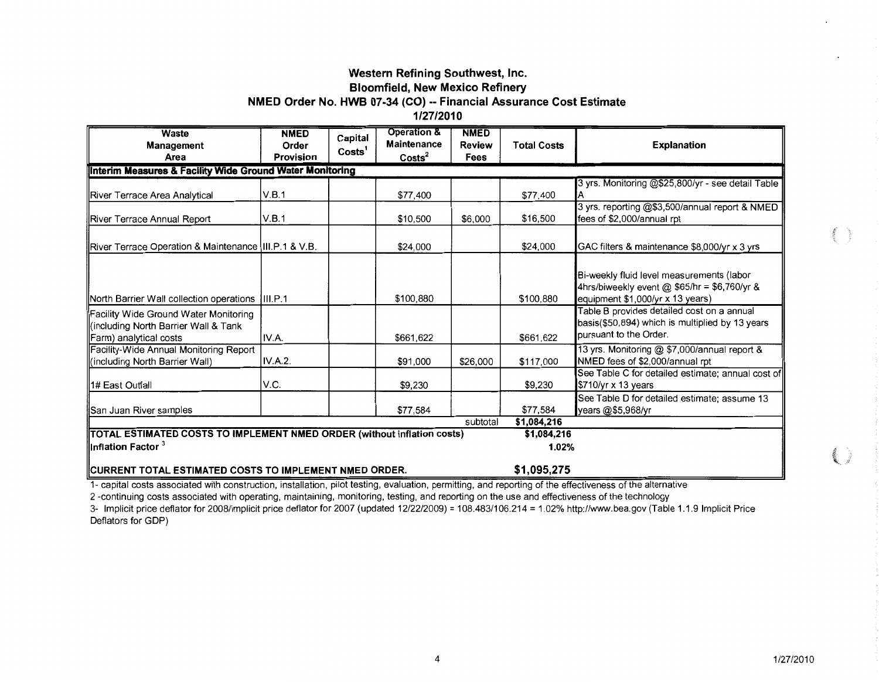#### Western Refining Southwest, Inc.

#### Bloomfield, New Mexico Refinery

#### **NMED** Order No. HWB 07-34 (CO) -- Financial Assurance Cost Estimate

1/27/2010

| Waste<br>Management<br>Area                                                                             | <b>NMED</b><br>Order<br><b>Provision</b> | Capital<br>Costs <sup>1</sup> | <b>Operation &amp;</b><br><b>Maintenance</b><br>$\text{Costs}^2$ | <b>NMED</b><br><b>Review</b><br>Fees | <b>Total Costs</b> | <b>Explanation</b>                                                                                                            |
|---------------------------------------------------------------------------------------------------------|------------------------------------------|-------------------------------|------------------------------------------------------------------|--------------------------------------|--------------------|-------------------------------------------------------------------------------------------------------------------------------|
| Interim Measures & Facility Wide Ground Water Monitoring                                                |                                          |                               |                                                                  |                                      |                    |                                                                                                                               |
| River Terrace Area Analytical                                                                           | V.B.1                                    |                               | \$77,400                                                         |                                      | \$77,400           | 3 yrs. Monitoring @\$25,800/yr - see detail Table                                                                             |
| <b>IRiver Terrace Annual Report</b>                                                                     | V.B.1                                    |                               | \$10,500                                                         | \$6,000                              | \$16,500           | 3 yrs. reporting @\$3,500/annual report & NMED<br>fees of \$2,000/annual rpt                                                  |
| River Terrace Operation & Maintenance   III.P.1 & V.B.                                                  |                                          |                               | \$24,000                                                         |                                      | \$24,000           | GAC filters & maintenance \$8,000/yr x 3 yrs                                                                                  |
| North Barrier Wall collection operations                                                                | III.P.1                                  |                               | \$100,880                                                        |                                      | \$100.880          | Bi-weekly fluid level measurements (labor<br>4hrs/biweekly event @ \$65/hr = \$6,760/yr &<br>equipment \$1,000/yr x 13 years) |
| Facility Wide Ground Water Monitoring<br>(including North Barrier Wall & Tank<br>Farm) analytical costs | IV.A.                                    |                               | \$661,622                                                        |                                      | \$661,622          | Table B provides detailed cost on a annual<br>basis(\$50,894) which is multiplied by 13 years<br>pursuant to the Order.       |
| <b>Facility-Wide Annual Monitoring Report</b><br>(including North Barrier Wall)                         | <b>IV.A.2.</b>                           |                               | \$91,000                                                         | \$26,000                             | \$117,000          | 13 yrs. Monitoring @ \$7,000/annual report &<br>NMED fees of \$2,000/annual rpt                                               |
| 1# East Outfall                                                                                         | V.C.                                     |                               | \$9,230                                                          |                                      | \$9,230            | See Table C for detailed estimate; annual cost of<br>\$710/yr x 13 years                                                      |
| San Juan River samples                                                                                  |                                          |                               | \$77,584                                                         |                                      | \$77,584           | See Table D for detailed estimate; assume 13<br>years @\$5,968/yr                                                             |
|                                                                                                         |                                          |                               |                                                                  | subtotal                             | \$1,084,216        |                                                                                                                               |
| <b>TOTAL ESTIMATED COSTS TO IMPLEMENT NMED ORDER (without inflation costs)</b>                          |                                          |                               |                                                                  |                                      | \$1,084,216        |                                                                                                                               |
| $\parallel$ Inflation Factor $^3$                                                                       |                                          |                               |                                                                  |                                      | 1.02%              |                                                                                                                               |
| CURRENT TOTAL ESTIMATED COSTS TO IMPLEMENT NMED ORDER.                                                  |                                          |                               |                                                                  |                                      | \$1,095,275        |                                                                                                                               |

1- capital costs associated with construction, installation, pilot testing, evaluation, permitting, and reporting of the effectiveness of the alternative

2 -continuing costs associated with operating, maintaining, monitoring, testing, and reporting on the use and effectiveness of the technology

3- Implicit price deflater for 2008/implicit price deflater for 2007 (updated 12/22/2009) = 108.483/106.214 = 1.02% http://www.bea.gov (Table 1.1.9 Implicit Price Deflators for GDP)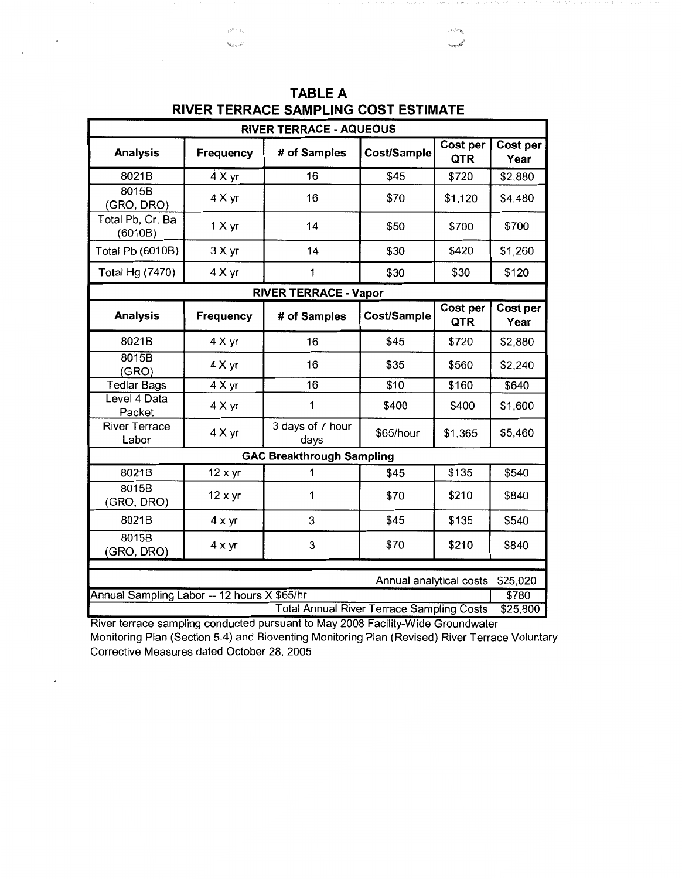| <b>RIVER TERRACE - AQUEOUS</b> |                                                                                             |                                                  |             |                               |                         |  |  |
|--------------------------------|---------------------------------------------------------------------------------------------|--------------------------------------------------|-------------|-------------------------------|-------------------------|--|--|
| <b>Analysis</b>                | Frequency                                                                                   | # of Samples                                     | Cost/Sample | <b>Cost per</b><br><b>QTR</b> | Cost per<br>Year        |  |  |
| 8021B                          | 4 X yr                                                                                      | 16                                               | \$45        | \$720                         | \$2,880                 |  |  |
| 8015B<br>(GRO, DRO)            | 4 X yr                                                                                      | 16                                               | \$70        | \$1,120                       | \$4,480                 |  |  |
| Total Pb, Cr, Ba<br>(6010B)    | 1 X yr                                                                                      | 14                                               | \$50        | \$700                         | \$700                   |  |  |
| Total Pb (6010B)               | 3 X yr                                                                                      | 14                                               | \$30        | \$420                         | \$1,260                 |  |  |
| Total Hg (7470)                | 4 X yr                                                                                      | 1                                                | \$30        | \$30                          | \$120                   |  |  |
|                                |                                                                                             | <b>RIVER TERRACE - Vapor</b>                     |             |                               |                         |  |  |
| <b>Analysis</b>                | Frequency                                                                                   | # of Samples                                     | Cost/Sample | <b>Cost per</b><br>QTR        | <b>Cost per</b><br>Year |  |  |
| 8021B                          | 4 X yr                                                                                      | 16                                               | \$45        | \$720                         | \$2,880                 |  |  |
| 8015B<br>(GRO)                 | 4 X yr                                                                                      | 16                                               | \$35        | \$560                         | \$2,240                 |  |  |
| <b>Tedlar Bags</b>             | $4 \times yr$                                                                               | 16                                               | \$10        | \$160                         | \$640                   |  |  |
| Level 4 Data<br>Packet         | 4 X yr                                                                                      | 1                                                | \$400       | \$400                         | \$1,600                 |  |  |
| <b>River Terrace</b><br>Labor  | 4 X yr                                                                                      | 3 days of 7 hour<br>days                         | \$65/hour   | \$1,365                       | \$5,460                 |  |  |
|                                |                                                                                             | <b>GAC Breakthrough Sampling</b>                 |             |                               |                         |  |  |
| 8021B                          | $12 \times yr$                                                                              | 1                                                | \$45        | \$135                         | \$540                   |  |  |
| 8015B<br>(GRO, DRO)            | 12 x yr                                                                                     | 1                                                | \$70        | \$210                         | \$840                   |  |  |
| 8021B                          | $4 \times yr$                                                                               | 3                                                | \$45        | \$135                         | \$540                   |  |  |
| 8015B<br>(GRO, DRO)            | $4 \times yr$                                                                               | 3                                                | \$70        | \$210                         | \$840                   |  |  |
|                                |                                                                                             |                                                  |             |                               |                         |  |  |
|                                | \$25,020<br>Annual analytical costs<br>\$780<br>Annual Sampling Labor -- 12 hours X \$65/hr |                                                  |             |                               |                         |  |  |
|                                |                                                                                             | <b>Total Annual River Terrace Sampling Costs</b> |             |                               | \$25,800                |  |  |

**TABLE A RIVER TERRACE SAMPLING COST ESTIMATE** 

River terrace sampling conducted pursuant to May 2008 Facility-Wide Groundwater Monitoring Plan (Section 5.4) and Bioventing Monitoring Plan (Revised) River Terrace Voluntary Corrective Measures dated October 28, 2005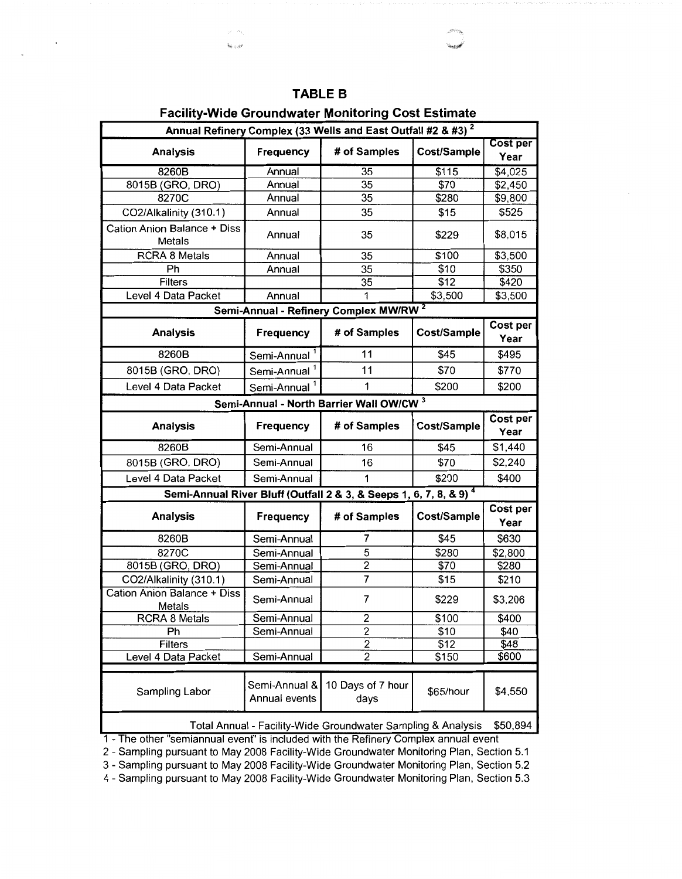$\hat{\mathbf{x}}_{\hat{\mathbf{b}} \sim i \sim \hat{\mathbf{b}}^2}$ 

 $\ddot{\phantom{0}}$ 

# **Facility-Wide Groundwater Monitoring Cost Estimate**

| Annual Refinery Complex (33 Wells and East Outfall #2 & #3) <sup>2</sup> |                                |                                                                               |             |                         |  |  |  |
|--------------------------------------------------------------------------|--------------------------------|-------------------------------------------------------------------------------|-------------|-------------------------|--|--|--|
| <b>Analysis</b>                                                          | Frequency                      | # of Samples                                                                  | Cost/Sample | <b>Cost per</b><br>Year |  |  |  |
| 8260B                                                                    | Annual                         | 35                                                                            | \$115       | \$4,025                 |  |  |  |
| 8015B (GRO, DRO)                                                         | Annual                         | 35                                                                            | \$70        | \$2,450                 |  |  |  |
| 8270C                                                                    | Annual                         | 35                                                                            | \$280       | \$9,800                 |  |  |  |
| CO2/Alkalinity (310.1)                                                   | Annual                         | 35                                                                            | \$15        | \$525                   |  |  |  |
| Cation Anion Balance + Diss<br>Metals                                    | Annual                         | 35                                                                            | \$229       | \$8,015                 |  |  |  |
| <b>RCRA 8 Metals</b>                                                     | Annual                         | 35                                                                            | \$100       | \$3,500                 |  |  |  |
| Ph                                                                       | Annual                         | 35                                                                            | \$10        | \$350                   |  |  |  |
| <b>Filters</b>                                                           |                                | 35                                                                            | \$12        | \$420                   |  |  |  |
| Level 4 Data Packet                                                      | Annual                         | 1                                                                             | \$3,500     | \$3,500                 |  |  |  |
|                                                                          |                                | Semi-Annual - Refinery Complex MW/RW <sup>2</sup>                             |             |                         |  |  |  |
| <b>Analysis</b>                                                          | Frequency                      | # of Samples                                                                  | Cost/Sample | Cost per<br>Year        |  |  |  |
| 8260B                                                                    | Semi-Annual <sup>1</sup>       | 11                                                                            | \$45        | \$495                   |  |  |  |
| 8015B (GRO, DRO)                                                         | Semi-Annual <sup>1</sup>       | 11                                                                            | \$70        | \$770                   |  |  |  |
| Level 4 Data Packet                                                      | Semi-Annual <sup>1</sup>       | 1                                                                             | \$200       | \$200                   |  |  |  |
|                                                                          |                                | Semi-Annual - North Barrier Wall OW/CW 3                                      |             |                         |  |  |  |
| <b>Analysis</b>                                                          | Frequency                      | # of Samples                                                                  | Cost/Sample | Cost per<br>Year        |  |  |  |
| 8260B                                                                    | Semi-Annual                    | 16                                                                            | \$45        | \$1,440                 |  |  |  |
| 8015B (GRO, DRO)                                                         | Semi-Annual                    | 16                                                                            | \$70        | \$2,240                 |  |  |  |
| Level 4 Data Packet                                                      | Semi-Annual                    | 1                                                                             | \$200       | \$400                   |  |  |  |
|                                                                          |                                | Semi-Annual River Bluff (Outfall 2 & 3, & Seeps 1, 6, 7, 8, & 9) <sup>4</sup> |             |                         |  |  |  |
| <b>Analysis</b>                                                          | <b>Frequency</b>               | # of Samples                                                                  | Cost/Sample | Cost per<br>Year        |  |  |  |
| 8260B                                                                    | Semi-Annual                    | 7                                                                             | \$45        | \$630                   |  |  |  |
| 8270C                                                                    | Semi-Annual                    | 5                                                                             | \$280       | \$2,800                 |  |  |  |
| 8015B (GRO, DRO)                                                         | Semi-Annual                    | $\overline{2}$                                                                | \$70        | \$280                   |  |  |  |
| CO2/Alkalinity (310.1)                                                   | Semi-Annual                    | $\overline{7}$                                                                | \$15        | \$210                   |  |  |  |
| <b>Cation Anion Balance + Diss</b><br>Metals                             | Semi-Annual                    | 7                                                                             | \$229       | \$3,206                 |  |  |  |
| <b>RCRA 8 Metals</b>                                                     | Semi-Annual                    | $\overline{\mathbf{c}}$                                                       | \$100       | \$400                   |  |  |  |
| Ph                                                                       | Semi-Annual                    | 2                                                                             | \$10        | \$40                    |  |  |  |
| Filters                                                                  |                                | 2                                                                             | \$12        | \$48                    |  |  |  |
| Level 4 Data Packet                                                      | Semi-Annual                    | 2                                                                             | \$150       | \$600                   |  |  |  |
| Sampling Labor                                                           | Semi-Annual &<br>Annual events | 10 Days of 7 hour<br>days                                                     | \$65/hour   | \$4,550                 |  |  |  |
|                                                                          |                                | Total Annual - Facility-Wide Groundwater Sampling & Analysis                  |             | \$50,894                |  |  |  |

1 - The other "semiannual event" Is included with the Refinery Complex annual event

2 - Sampling pursuant to May 2008 Facility-Wide Groundwater Monitoring Plan, Section 5.1

3 - Sampling pursuant to May 2008 Facility-Wide Groundwater Monitoring Plan, Section 5.2

4 - Sampling pursuant to May 2008 Facility-Wide Groundwater Monitoring Plan, Section 5.3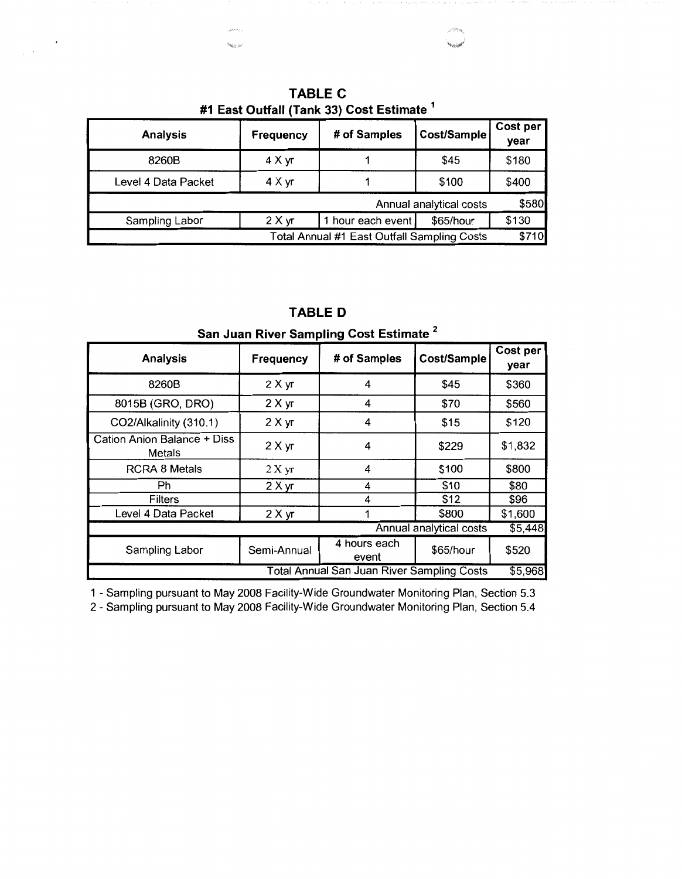| <b>Analysis</b>                                      | <b>Frequency</b> | # of Samples      | Cost/Sample | Cost per<br>year |  |  |
|------------------------------------------------------|------------------|-------------------|-------------|------------------|--|--|
| 8260B                                                | 4 X yr           |                   | \$45        | \$180            |  |  |
| Level 4 Data Packet                                  | 4 X yr           |                   | \$100       | \$400            |  |  |
| \$580<br>Annual analytical costs                     |                  |                   |             |                  |  |  |
| Sampling Labor                                       | 2 X yr           | 1 hour each event | \$65/hour   | \$130            |  |  |
| \$710<br>Total Annual #1 East Outfall Sampling Costs |                  |                   |             |                  |  |  |

**TABLE C #1 East Outfall {Tank 33) Cost Estimate** <sup>1</sup>

| <b>Analysis</b>                              | Frequency   | # of Samples          | Cost/Sample             | Cost per<br>year |
|----------------------------------------------|-------------|-----------------------|-------------------------|------------------|
| 8260B                                        | 2 X yr      | 4                     | \$45                    | \$360            |
| 8015B (GRO, DRO)                             | 2 X yr      | 4                     | \$70                    | \$560            |
| CO2/Alkalinity (310.1)                       | 2 X yr      | 4                     | \$15                    | \$120            |
| Cation Anion Balance + Diss<br><b>Metals</b> | 2 X yr      | 4                     | \$229                   | \$1,832          |
| <b>RCRA 8 Metals</b>                         | 2 X yr      | 4                     | \$100                   | \$800            |
| Ph                                           | 2 X yr      | 4                     | \$10                    | \$80             |
| Filters                                      |             | 4                     | \$12                    | \$96             |
| Level 4 Data Packet                          | 2 X yr      |                       | \$800                   | \$1,600          |
|                                              |             |                       | Annual analytical costs | \$5,448          |
| Sampling Labor                               | Semi-Annual | 4 hours each<br>event | \$65/hour               | \$520            |

**TABLED San Juan River Sampling Cost Estimate** <sup>2</sup>

1 - Sampling pursuant to May 2008 Facility-Wide Groundwater Monitoring Plan, Section 5.3

2 - Sampling pursuant to May 2008 Facility-Wide Groundwater Monitoring Plan, Section 5.4